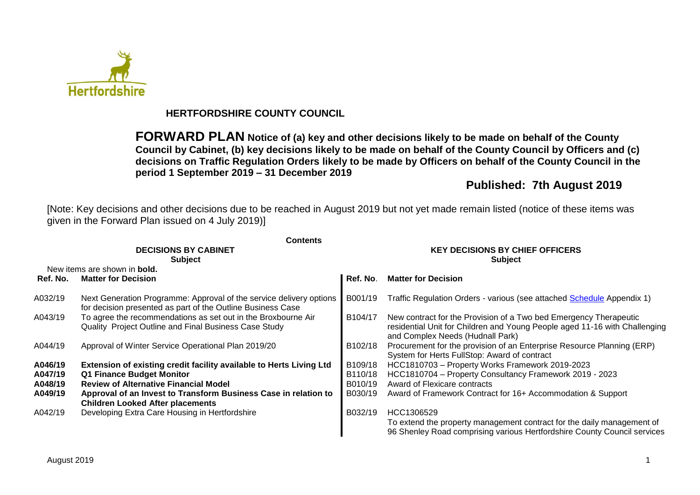

## **HERTFORDSHIRE COUNTY COUNCIL**

**FORWARD PLAN Notice of (a) key and other decisions likely to be made on behalf of the County Council by Cabinet, (b) key decisions likely to be made on behalf of the County Council by Officers and (c) decisions on Traffic Regulation Orders likely to be made by Officers on behalf of the County Council in the period 1 September 2019 – 31 December 2019**

## **Published: 7th August 2019**

[Note: Key decisions and other decisions due to be reached in August 2019 but not yet made remain listed (notice of these items was given in the Forward Plan issued on 4 July 2019)]

|          | <b>Contents</b>                                                                                                                    |                                                          |                                                                                                                                                                                     |  |  |  |
|----------|------------------------------------------------------------------------------------------------------------------------------------|----------------------------------------------------------|-------------------------------------------------------------------------------------------------------------------------------------------------------------------------------------|--|--|--|
|          | <b>DECISIONS BY CABINET</b><br><b>Subject</b>                                                                                      | <b>KEY DECISIONS BY CHIEF OFFICERS</b><br><b>Subject</b> |                                                                                                                                                                                     |  |  |  |
|          | New items are shown in <b>bold.</b>                                                                                                |                                                          |                                                                                                                                                                                     |  |  |  |
| Ref. No. | <b>Matter for Decision</b>                                                                                                         | Ref. No.                                                 | <b>Matter for Decision</b>                                                                                                                                                          |  |  |  |
| A032/19  | Next Generation Programme: Approval of the service delivery options<br>for decision presented as part of the Outline Business Case | B001/19                                                  | Traffic Regulation Orders - various (see attached Schedule Appendix 1)                                                                                                              |  |  |  |
| A043/19  | To agree the recommendations as set out in the Broxbourne Air<br>Quality Project Outline and Final Business Case Study             | B104/17                                                  | New contract for the Provision of a Two bed Emergency Therapeutic<br>residential Unit for Children and Young People aged 11-16 with Challenging<br>and Complex Needs (Hudnall Park) |  |  |  |
| A044/19  | Approval of Winter Service Operational Plan 2019/20                                                                                | B102/18                                                  | Procurement for the provision of an Enterprise Resource Planning (ERP)<br>System for Herts FullStop: Award of contract                                                              |  |  |  |
| A046/19  | Extension of existing credit facility available to Herts Living Ltd                                                                | B109/18                                                  | HCC1810703 - Property Works Framework 2019-2023                                                                                                                                     |  |  |  |
| A047/19  | Q1 Finance Budget Monitor                                                                                                          | B110/18                                                  | HCC1810704 - Property Consultancy Framework 2019 - 2023                                                                                                                             |  |  |  |
| A048/19  | <b>Review of Alternative Financial Model</b>                                                                                       | B010/19                                                  | Award of Flexicare contracts                                                                                                                                                        |  |  |  |
| A049/19  | Approval of an Invest to Transform Business Case in relation to<br><b>Children Looked After placements</b>                         | B030/19                                                  | Award of Framework Contract for 16+ Accommodation & Support                                                                                                                         |  |  |  |
| A042/19  | Developing Extra Care Housing in Hertfordshire                                                                                     | B032/19                                                  | HCC1306529                                                                                                                                                                          |  |  |  |
|          |                                                                                                                                    |                                                          | To extend the property management contract for the daily management of<br>96 Shenley Road comprising various Hertfordshire County Council services                                  |  |  |  |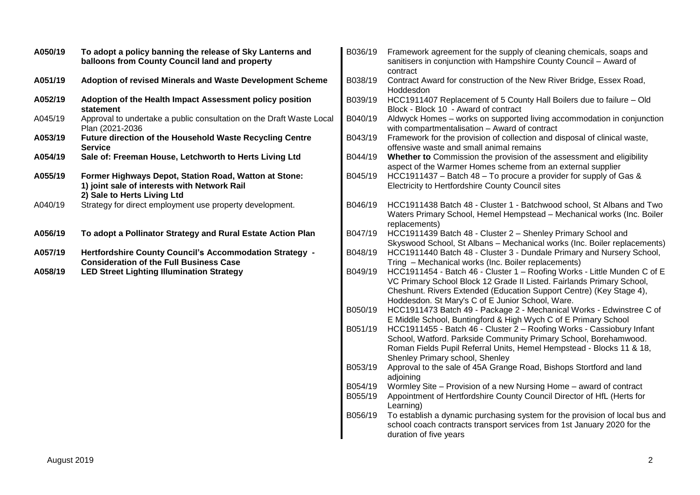| A050/19 | To adopt a policy banning the release of Sky Lanterns and<br>balloons from County Council land and property                          | B036/19            | Framework agreement for the supply of cleaning chemicals, soaps and<br>sanitisers in conjunction with Hampshire County Council - Award of<br>contract                                                                                                                        |
|---------|--------------------------------------------------------------------------------------------------------------------------------------|--------------------|------------------------------------------------------------------------------------------------------------------------------------------------------------------------------------------------------------------------------------------------------------------------------|
| A051/19 | Adoption of revised Minerals and Waste Development Scheme                                                                            | B038/19            | Contract Award for construction of the New River Bridge, Essex Road,<br>Hoddesdon                                                                                                                                                                                            |
| A052/19 | Adoption of the Health Impact Assessment policy position<br>statement                                                                | B039/19            | HCC1911407 Replacement of 5 County Hall Boilers due to failure - Old<br>Block - Block 10 - Award of contract                                                                                                                                                                 |
| A045/19 | Approval to undertake a public consultation on the Draft Waste Local<br>Plan (2021-2036                                              | B040/19            | Aldwyck Homes - works on supported living accommodation in conjunction<br>with compartmentalisation - Award of contract                                                                                                                                                      |
| A053/19 | Future direction of the Household Waste Recycling Centre<br><b>Service</b>                                                           | B043/19            | Framework for the provision of collection and disposal of clinical waste,<br>offensive waste and small animal remains                                                                                                                                                        |
| A054/19 | Sale of: Freeman House, Letchworth to Herts Living Ltd                                                                               | B044/19            | Whether to Commission the provision of the assessment and eligibility<br>aspect of the Warmer Homes scheme from an external supplier                                                                                                                                         |
| A055/19 | Former Highways Depot, Station Road, Watton at Stone:<br>1) joint sale of interests with Network Rail<br>2) Sale to Herts Living Ltd | B045/19            | HCC1911437 – Batch 48 – To procure a provider for supply of Gas &<br>Electricity to Hertfordshire County Council sites                                                                                                                                                       |
| A040/19 | Strategy for direct employment use property development.                                                                             | B046/19            | HCC1911438 Batch 48 - Cluster 1 - Batchwood school, St Albans and Two<br>Waters Primary School, Hemel Hempstead - Mechanical works (Inc. Boiler<br>replacements)                                                                                                             |
| A056/19 | To adopt a Pollinator Strategy and Rural Estate Action Plan                                                                          | B047/19            | HCC1911439 Batch 48 - Cluster 2 - Shenley Primary School and<br>Skyswood School, St Albans - Mechanical works (Inc. Boiler replacements)                                                                                                                                     |
| A057/19 | <b>Hertfordshire County Council's Accommodation Strategy -</b><br><b>Consideration of the Full Business Case</b>                     | B048/19            | HCC1911440 Batch 48 - Cluster 3 - Dundale Primary and Nursery School,<br>Tring - Mechanical works (Inc. Boiler replacements)                                                                                                                                                 |
| A058/19 | <b>LED Street Lighting Illumination Strategy</b>                                                                                     | B049/19            | HCC1911454 - Batch 46 - Cluster 1 - Roofing Works - Little Munden C of E<br>VC Primary School Block 12 Grade II Listed. Fairlands Primary School,<br>Cheshunt. Rivers Extended (Education Support Centre) (Key Stage 4),<br>Hoddesdon. St Mary's C of E Junior School, Ware. |
|         |                                                                                                                                      | B050/19            | HCC1911473 Batch 49 - Package 2 - Mechanical Works - Edwinstree C of<br>E Middle School, Buntingford & High Wych C of E Primary School                                                                                                                                       |
|         |                                                                                                                                      | B051/19            | HCC1911455 - Batch 46 - Cluster 2 - Roofing Works - Cassiobury Infant<br>School, Watford. Parkside Community Primary School, Borehamwood.<br>Roman Fields Pupil Referral Units, Hemel Hempstead - Blocks 11 & 18,<br>Shenley Primary school, Shenley                         |
|         |                                                                                                                                      | B053/19            | Approval to the sale of 45A Grange Road, Bishops Stortford and land<br>adjoining                                                                                                                                                                                             |
|         |                                                                                                                                      | B054/19<br>B055/19 | Wormley Site - Provision of a new Nursing Home - award of contract<br>Appointment of Hertfordshire County Council Director of HfL (Herts for<br>Learning)                                                                                                                    |
|         |                                                                                                                                      | B056/19            | To establish a dynamic purchasing system for the provision of local bus and<br>school coach contracts transport services from 1st January 2020 for the<br>duration of five years                                                                                             |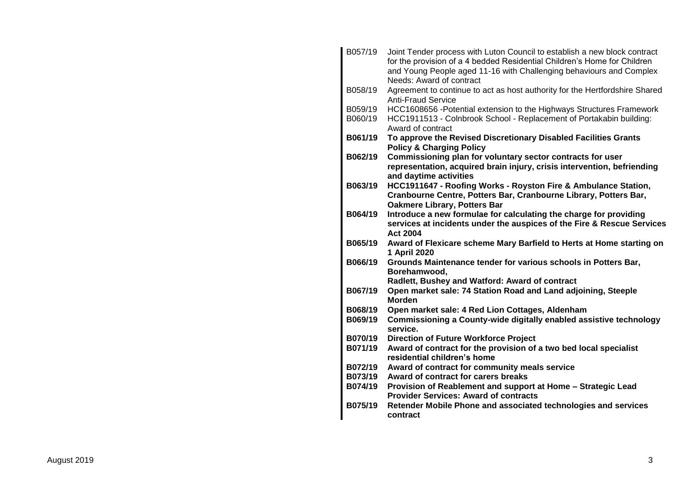| B057/19            | Joint Tender process with Luton Council to establish a new block contract<br>for the provision of a 4 bedded Residential Children's Home for Children<br>and Young People aged 11-16 with Challenging behaviours and Complex<br>Needs: Award of contract |
|--------------------|----------------------------------------------------------------------------------------------------------------------------------------------------------------------------------------------------------------------------------------------------------|
| B058/19            | Agreement to continue to act as host authority for the Hertfordshire Shared<br><b>Anti-Fraud Service</b>                                                                                                                                                 |
| B059/19<br>B060/19 | HCC1608656 - Potential extension to the Highways Structures Framework<br>HCC1911513 - Colnbrook School - Replacement of Portakabin building:<br>Award of contract                                                                                        |
| B061/19            | To approve the Revised Discretionary Disabled Facilities Grants<br><b>Policy &amp; Charging Policy</b>                                                                                                                                                   |
| B062/19            | Commissioning plan for voluntary sector contracts for user<br>representation, acquired brain injury, crisis intervention, befriending<br>and daytime activities                                                                                          |
| B063/19            | HCC1911647 - Roofing Works - Royston Fire & Ambulance Station,<br>Cranbourne Centre, Potters Bar, Cranbourne Library, Potters Bar,<br><b>Oakmere Library, Potters Bar</b>                                                                                |
| B064/19            | Introduce a new formulae for calculating the charge for providing<br>services at incidents under the auspices of the Fire & Rescue Services<br><b>Act 2004</b>                                                                                           |
| B065/19            | Award of Flexicare scheme Mary Barfield to Herts at Home starting on<br>1 April 2020                                                                                                                                                                     |
| B066/19            | Grounds Maintenance tender for various schools in Potters Bar,<br>Borehamwood,                                                                                                                                                                           |
|                    | Radlett, Bushey and Watford: Award of contract                                                                                                                                                                                                           |
| B067/19            | Open market sale: 74 Station Road and Land adjoining, Steeple<br><b>Morden</b>                                                                                                                                                                           |
| B068/19            | Open market sale: 4 Red Lion Cottages, Aldenham                                                                                                                                                                                                          |
| B069/19            | Commissioning a County-wide digitally enabled assistive technology<br>service.                                                                                                                                                                           |
| B070/19            | <b>Direction of Future Workforce Project</b>                                                                                                                                                                                                             |
| B071/19            | Award of contract for the provision of a two bed local specialist<br>residential children's home                                                                                                                                                         |
| B072/19            | Award of contract for community meals service                                                                                                                                                                                                            |
| B073/19            | Award of contract for carers breaks                                                                                                                                                                                                                      |
| B074/19            | Provision of Reablement and support at Home - Strategic Lead<br><b>Provider Services: Award of contracts</b>                                                                                                                                             |
| B075/19            | Retender Mobile Phone and associated technologies and services<br>contract                                                                                                                                                                               |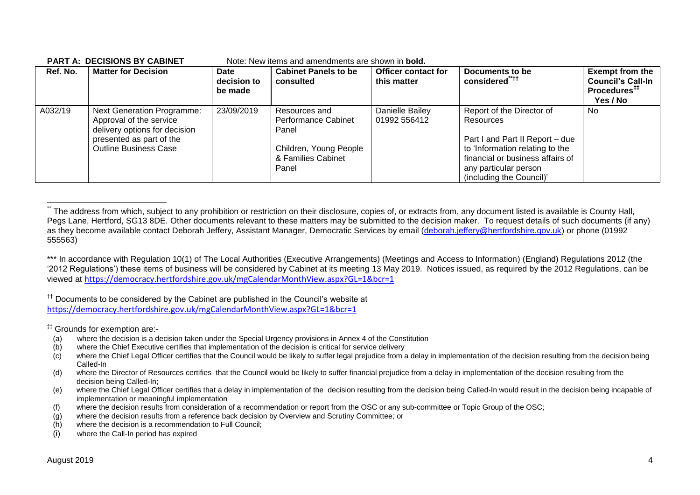| Ref. No. | <b>Matter for Decision</b>                                                                                                                                | Date<br>decision to<br>be made | <b>Cabinet Panels to be</b><br>consulted                                                               | <b>Officer contact for</b><br>this matter | Documents to be<br>considered <sup>"***</sup>                                                                                                                                                         | <b>Exempt from the</b><br><b>Council's Call-In</b><br>Procedures <sup>##</sup><br>Yes / No |
|----------|-----------------------------------------------------------------------------------------------------------------------------------------------------------|--------------------------------|--------------------------------------------------------------------------------------------------------|-------------------------------------------|-------------------------------------------------------------------------------------------------------------------------------------------------------------------------------------------------------|--------------------------------------------------------------------------------------------|
| A032/19  | <b>Next Generation Programme:</b><br>Approval of the service<br>delivery options for decision<br>presented as part of the<br><b>Outline Business Case</b> | 23/09/2019                     | Resources and<br>Performance Cabinet<br>Panel<br>Children, Young People<br>& Families Cabinet<br>Panel | Danielle Bailey<br>01992 556412           | Report of the Director of<br>Resources<br>Part I and Part II Report - due<br>to 'Information relating to the<br>financial or business affairs of<br>any particular person<br>(including the Council)' | No.                                                                                        |

#### **PART A: DECISIONS BY CABINET** Note: New items and amendments are shown in **bold.**

\*\*\* In accordance with Regulation 10(1) of The Local Authorities (Executive Arrangements) (Meetings and Access to Information) (England) Regulations 2012 (the '2012 Regulations') these items of business will be considered by Cabinet at its meeting 13 May 2019. Notices issued, as required by the 2012 Regulations, can be viewed at <https://democracy.hertfordshire.gov.uk/mgCalendarMonthView.aspx?GL=1&bcr=1>

<sup>††</sup> Documents to be considered by the Cabinet are published in the Council's website at <https://democracy.hertfordshire.gov.uk/mgCalendarMonthView.aspx?GL=1&bcr=1>

‡‡ Grounds for exemption are:-

- (a) where the decision is a decision taken under the Special Urgency provisions in Annex 4 of the Constitution
- (b) where the Chief Executive certifies that implementation of the decision is critical for service delivery
- $(c)$  where the Chief Legal Officer certifies that the Council would be likely to suffer legal prejudice from a delay in implementation of the decision resulting from the decision being Called-In
- (d) where the Director of Resources certifies that the Council would be likely to suffer financial prejudice from a delay in implementation of the decision resulting from the decision being Called-In;
- (e) where the Chief Legal Officer certifies that a delay in implementation of the decision resulting from the decision being Called-In would result in the decision being incapable of implementation or meaningful implementation
- (f) where the decision results from consideration of a recommendation or report from the OSC or any sub-committee or Topic Group of the OSC;
- (g) where the decision results from a reference back decision by Overview and Scrutiny Committee; or
- (h) where the decision is a recommendation to Full Council;
- (i) where the Call-In period has expired

1

The address from which, subject to any prohibition or restriction on their disclosure, copies of, or extracts from, any document listed is available is County Hall, Pegs Lane, Hertford, SG13 8DE. Other documents relevant to these matters may be submitted to the decision maker. To request details of such documents (if any) as they become available contact Deborah Jeffery, Assistant Manager, Democratic Services by email [\(deborah.jeffery@hertfordshire.gov.uk\)](mailto:deborah.jeffery@hertfordshire.gov.uk) or phone (01992 555563)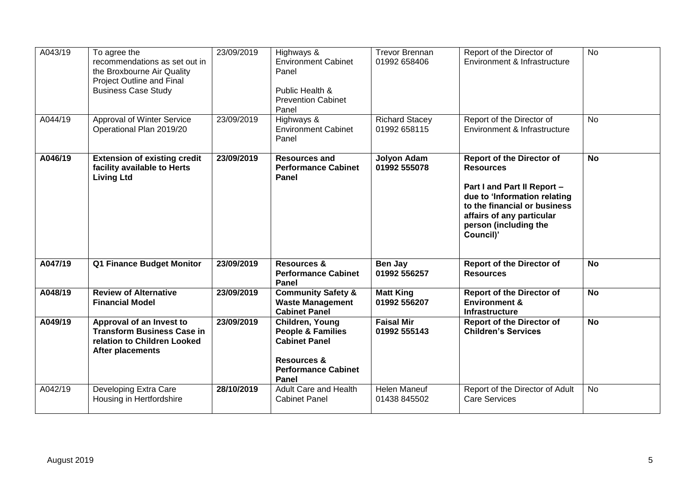| A043/19 | To agree the<br>recommendations as set out in<br>the Broxbourne Air Quality<br>Project Outline and Final<br><b>Business Case Study</b> | 23/09/2019 | Highways &<br><b>Environment Cabinet</b><br>Panel<br>Public Health &<br><b>Prevention Cabinet</b><br>Panel                               | <b>Trevor Brennan</b><br>01992 658406 | Report of the Director of<br>Environment & Infrastructure                                                                                                                                                              | $\overline{N}$ |
|---------|----------------------------------------------------------------------------------------------------------------------------------------|------------|------------------------------------------------------------------------------------------------------------------------------------------|---------------------------------------|------------------------------------------------------------------------------------------------------------------------------------------------------------------------------------------------------------------------|----------------|
| A044/19 | Approval of Winter Service<br>Operational Plan 2019/20                                                                                 | 23/09/2019 | Highways &<br><b>Environment Cabinet</b><br>Panel                                                                                        | <b>Richard Stacey</b><br>01992 658115 | Report of the Director of<br>Environment & Infrastructure                                                                                                                                                              | <b>No</b>      |
| A046/19 | <b>Extension of existing credit</b><br>facility available to Herts<br><b>Living Ltd</b>                                                | 23/09/2019 | <b>Resources and</b><br><b>Performance Cabinet</b><br>Panel                                                                              | <b>Jolyon Adam</b><br>01992 555078    | <b>Report of the Director of</b><br><b>Resources</b><br>Part I and Part II Report -<br>due to 'Information relating<br>to the financial or business<br>affairs of any particular<br>person (including the<br>Council)' | <b>No</b>      |
| A047/19 | Q1 Finance Budget Monitor                                                                                                              | 23/09/2019 | Resources &<br><b>Performance Cabinet</b><br>Panel                                                                                       | Ben Jay<br>01992 556257               | <b>Report of the Director of</b><br><b>Resources</b>                                                                                                                                                                   | <b>No</b>      |
| A048/19 | <b>Review of Alternative</b><br><b>Financial Model</b>                                                                                 | 23/09/2019 | <b>Community Safety &amp;</b><br><b>Waste Management</b><br><b>Cabinet Panel</b>                                                         | <b>Matt King</b><br>01992 556207      | <b>Report of the Director of</b><br><b>Environment &amp;</b><br><b>Infrastructure</b>                                                                                                                                  | <b>No</b>      |
| A049/19 | Approval of an Invest to<br><b>Transform Business Case in</b><br>relation to Children Looked<br>After placements                       | 23/09/2019 | Children, Young<br><b>People &amp; Families</b><br><b>Cabinet Panel</b><br><b>Resources &amp;</b><br><b>Performance Cabinet</b><br>Panel | <b>Faisal Mir</b><br>01992 555143     | <b>Report of the Director of</b><br><b>Children's Services</b>                                                                                                                                                         | <b>No</b>      |
| A042/19 | Developing Extra Care<br>Housing in Hertfordshire                                                                                      | 28/10/2019 | Adult Care and Health<br><b>Cabinet Panel</b>                                                                                            | Helen Maneuf<br>01438 845502          | Report of the Director of Adult<br><b>Care Services</b>                                                                                                                                                                | No             |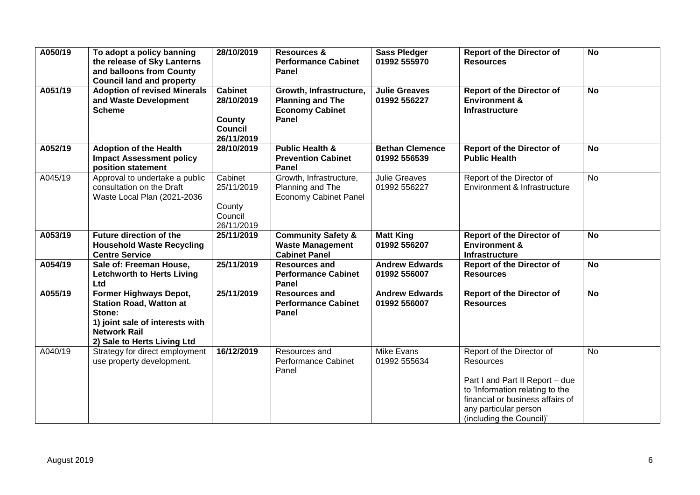| A050/19 | To adopt a policy banning<br>the release of Sky Lanterns<br>and balloons from County<br><b>Council land and property</b>                                    | 28/10/2019                                                             | <b>Resources &amp;</b><br><b>Performance Cabinet</b><br>Panel                         | <b>Sass Pledger</b><br>01992 555970    | <b>Report of the Director of</b><br><b>Resources</b>                                                                                                                                                         | <b>No</b> |
|---------|-------------------------------------------------------------------------------------------------------------------------------------------------------------|------------------------------------------------------------------------|---------------------------------------------------------------------------------------|----------------------------------------|--------------------------------------------------------------------------------------------------------------------------------------------------------------------------------------------------------------|-----------|
| A051/19 | <b>Adoption of revised Minerals</b><br>and Waste Development<br><b>Scheme</b>                                                                               | <b>Cabinet</b><br>28/10/2019<br>County<br><b>Council</b><br>26/11/2019 | Growth, Infrastructure,<br><b>Planning and The</b><br><b>Economy Cabinet</b><br>Panel | <b>Julie Greaves</b><br>01992 556227   | <b>Report of the Director of</b><br><b>Environment &amp;</b><br><b>Infrastructure</b>                                                                                                                        | <b>No</b> |
| A052/19 | <b>Adoption of the Health</b><br><b>Impact Assessment policy</b><br>position statement                                                                      | 28/10/2019                                                             | <b>Public Health &amp;</b><br><b>Prevention Cabinet</b><br>Panel                      | <b>Bethan Clemence</b><br>01992 556539 | <b>Report of the Director of</b><br><b>Public Health</b>                                                                                                                                                     | <b>No</b> |
| A045/19 | Approval to undertake a public<br>consultation on the Draft<br>Waste Local Plan (2021-2036                                                                  | Cabinet<br>25/11/2019<br>County<br>Council<br>26/11/2019               | Growth, Infrastructure,<br>Planning and The<br><b>Economy Cabinet Panel</b>           | <b>Julie Greaves</b><br>01992 556227   | Report of the Director of<br>Environment & Infrastructure                                                                                                                                                    | No        |
| A053/19 | <b>Future direction of the</b><br><b>Household Waste Recycling</b><br><b>Centre Service</b>                                                                 | 25/11/2019                                                             | <b>Community Safety &amp;</b><br><b>Waste Management</b><br><b>Cabinet Panel</b>      | <b>Matt King</b><br>01992 556207       | <b>Report of the Director of</b><br><b>Environment &amp;</b><br><b>Infrastructure</b>                                                                                                                        | <b>No</b> |
| A054/19 | Sale of: Freeman House,<br><b>Letchworth to Herts Living</b><br>Ltd                                                                                         | 25/11/2019                                                             | <b>Resources and</b><br><b>Performance Cabinet</b><br><b>Panel</b>                    | <b>Andrew Edwards</b><br>01992 556007  | <b>Report of the Director of</b><br><b>Resources</b>                                                                                                                                                         | <b>No</b> |
| A055/19 | Former Highways Depot,<br><b>Station Road, Watton at</b><br>Stone:<br>1) joint sale of interests with<br><b>Network Rail</b><br>2) Sale to Herts Living Ltd | 25/11/2019                                                             | <b>Resources and</b><br><b>Performance Cabinet</b><br>Panel                           | <b>Andrew Edwards</b><br>01992 556007  | <b>Report of the Director of</b><br><b>Resources</b>                                                                                                                                                         | <b>No</b> |
| A040/19 | Strategy for direct employment<br>use property development.                                                                                                 | 16/12/2019                                                             | Resources and<br>Performance Cabinet<br>Panel                                         | <b>Mike Evans</b><br>01992 555634      | Report of the Director of<br><b>Resources</b><br>Part I and Part II Report - due<br>to 'Information relating to the<br>financial or business affairs of<br>any particular person<br>(including the Council)' | <b>No</b> |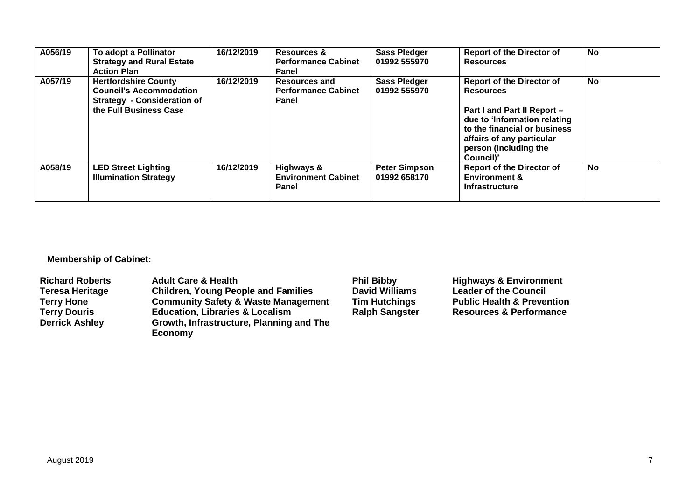| A056/19 | To adopt a Pollinator<br><b>Strategy and Rural Estate</b><br><b>Action Plan</b>                                               | 16/12/2019 | <b>Resources &amp;</b><br><b>Performance Cabinet</b><br>Panel | <b>Sass Pledger</b><br>01992 555970  | <b>Report of the Director of</b><br><b>Resources</b>                                                                                                                                                                   | <b>No</b> |
|---------|-------------------------------------------------------------------------------------------------------------------------------|------------|---------------------------------------------------------------|--------------------------------------|------------------------------------------------------------------------------------------------------------------------------------------------------------------------------------------------------------------------|-----------|
| A057/19 | <b>Hertfordshire County</b><br><b>Council's Accommodation</b><br><b>Strategy - Consideration of</b><br>the Full Business Case | 16/12/2019 | <b>Resources and</b><br><b>Performance Cabinet</b><br>Panel   | <b>Sass Pledger</b><br>01992 555970  | <b>Report of the Director of</b><br><b>Resources</b><br>Part I and Part II Report -<br>due to 'Information relating<br>to the financial or business<br>affairs of any particular<br>person (including the<br>Council)' | No        |
| A058/19 | <b>LED Street Lighting</b><br><b>Illumination Strategy</b>                                                                    | 16/12/2019 | Highways &<br><b>Environment Cabinet</b><br>Panel             | <b>Peter Simpson</b><br>01992 658170 | <b>Report of the Director of</b><br><b>Environment &amp;</b><br><b>Infrastructure</b>                                                                                                                                  | <b>No</b> |

**Membership of Cabinet:** 

| <b>Richard Roberts</b> | <b>Adult Care &amp; Health</b>                 | <b>Phil Bibby</b>     | <b>Highways &amp; Environment</b>     |
|------------------------|------------------------------------------------|-----------------------|---------------------------------------|
| <b>Teresa Heritage</b> | <b>Children, Young People and Families</b>     | <b>David Williams</b> | <b>Leader of the Council</b>          |
| <b>Terry Hone</b>      | <b>Community Safety &amp; Waste Management</b> | <b>Tim Hutchings</b>  | <b>Public Health &amp; Prevention</b> |
| <b>Terry Douris</b>    | <b>Education, Libraries &amp; Localism</b>     | <b>Ralph Sangster</b> | <b>Resources &amp; Performance</b>    |
| <b>Derrick Ashley</b>  | Growth, Infrastructure, Planning and The       |                       |                                       |
|                        | Economy                                        |                       |                                       |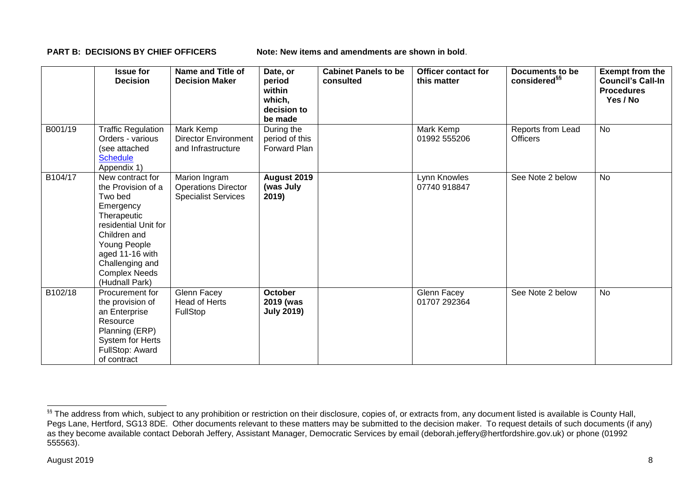**PART B: DECISIONS BY CHIEF OFFICERS Note: New items and amendments are shown in bold.** 

|         | <b>Issue for</b><br><b>Decision</b>                                                                                                                                                                                   | <b>Name and Title of</b><br><b>Decision Maker</b>                         | Date, or<br>period<br>within<br>which,<br>decision to<br>be made | <b>Cabinet Panels to be</b><br>consulted | <b>Officer contact for</b><br>this matter | <b>Documents to be</b><br>considered <sup>§§</sup> | <b>Exempt from the</b><br><b>Council's Call-In</b><br><b>Procedures</b><br>Yes / No |
|---------|-----------------------------------------------------------------------------------------------------------------------------------------------------------------------------------------------------------------------|---------------------------------------------------------------------------|------------------------------------------------------------------|------------------------------------------|-------------------------------------------|----------------------------------------------------|-------------------------------------------------------------------------------------|
| B001/19 | <b>Traffic Regulation</b><br>Orders - various<br>(see attached<br><b>Schedule</b><br>Appendix 1)                                                                                                                      | Mark Kemp<br><b>Director Environment</b><br>and Infrastructure            | During the<br>period of this<br>Forward Plan                     |                                          | Mark Kemp<br>01992 555206                 | Reports from Lead<br><b>Officers</b>               | <b>No</b>                                                                           |
| B104/17 | New contract for<br>the Provision of a<br>Two bed<br>Emergency<br>Therapeutic<br>residential Unit for<br>Children and<br>Young People<br>aged 11-16 with<br>Challenging and<br><b>Complex Needs</b><br>(Hudnall Park) | Marion Ingram<br><b>Operations Director</b><br><b>Specialist Services</b> | August 2019<br>(was July<br>2019)                                |                                          | Lynn Knowles<br>07740 918847              | See Note 2 below                                   | No                                                                                  |
| B102/18 | Procurement for<br>the provision of<br>an Enterprise<br>Resource<br>Planning (ERP)<br>System for Herts<br>FullStop: Award<br>of contract                                                                              | Glenn Facey<br><b>Head of Herts</b><br>FullStop                           | <b>October</b><br>2019 (was<br><b>July 2019)</b>                 |                                          | Glenn Facey<br>01707 292364               | See Note 2 below                                   | No                                                                                  |

-

<sup>&</sup>lt;sup>§§</sup> The address from which, subject to any prohibition or restriction on their disclosure, copies of, or extracts from, any document listed is available is County Hall, Pegs Lane, Hertford, SG13 8DE. Other documents relevant to these matters may be submitted to the decision maker. To request details of such documents (if any) as they become available contact Deborah Jeffery, Assistant Manager, Democratic Services by email (deborah.jeffery@hertfordshire.gov.uk) or phone (01992 555563).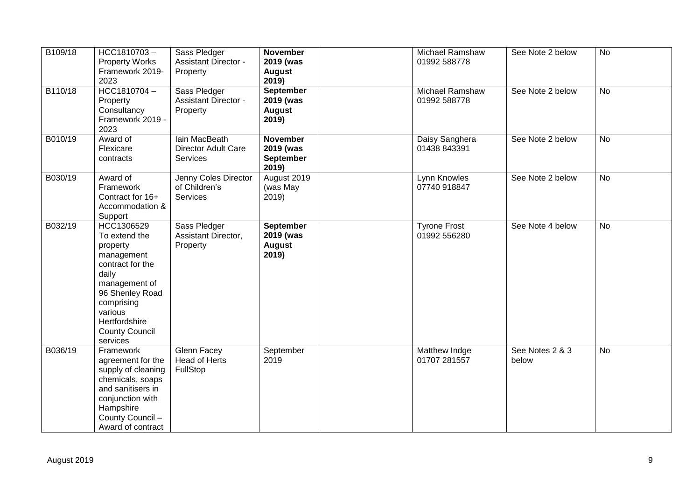| B109/18 | HCC1810703-<br><b>Property Works</b><br>Framework 2019-<br>2023                                                                                                                                       | Sass Pledger<br><b>Assistant Director -</b><br>Property        | <b>November</b><br>2019 (was<br><b>August</b><br>2019)   | Michael Ramshaw<br>01992 588778     | See Note 2 below         | <b>No</b>      |
|---------|-------------------------------------------------------------------------------------------------------------------------------------------------------------------------------------------------------|----------------------------------------------------------------|----------------------------------------------------------|-------------------------------------|--------------------------|----------------|
| B110/18 | HCC1810704-<br>Property<br>Consultancy<br>Framework 2019 -<br>2023                                                                                                                                    | Sass Pledger<br><b>Assistant Director -</b><br>Property        | <b>September</b><br>2019 (was<br><b>August</b><br>2019)  | Michael Ramshaw<br>01992 588778     | See Note 2 below         | <b>No</b>      |
| B010/19 | Award of<br>Flexicare<br>contracts                                                                                                                                                                    | lain MacBeath<br><b>Director Adult Care</b><br><b>Services</b> | <b>November</b><br>2019 (was<br><b>September</b><br>2019 | Daisy Sanghera<br>01438 843391      | See Note 2 below         | No             |
| B030/19 | Award of<br>Framework<br>Contract for 16+<br>Accommodation &<br>Support                                                                                                                               | Jenny Coles Director<br>of Children's<br><b>Services</b>       | August 2019<br>(was May<br>2019                          | Lynn Knowles<br>07740 918847        | See Note 2 below         | $\overline{N}$ |
| B032/19 | HCC1306529<br>To extend the<br>property<br>management<br>contract for the<br>daily<br>management of<br>96 Shenley Road<br>comprising<br>various<br>Hertfordshire<br><b>County Council</b><br>services | Sass Pledger<br>Assistant Director,<br>Property                | September<br>2019 (was<br><b>August</b><br>2019)         | <b>Tyrone Frost</b><br>01992 556280 | See Note 4 below         | <b>No</b>      |
| B036/19 | Framework<br>agreement for the<br>supply of cleaning<br>chemicals, soaps<br>and sanitisers in<br>conjunction with<br>Hampshire<br>County Council -<br>Award of contract                               | <b>Glenn Facey</b><br><b>Head of Herts</b><br>FullStop         | September<br>2019                                        | Matthew Indge<br>01707 281557       | See Notes 2 & 3<br>below | <b>No</b>      |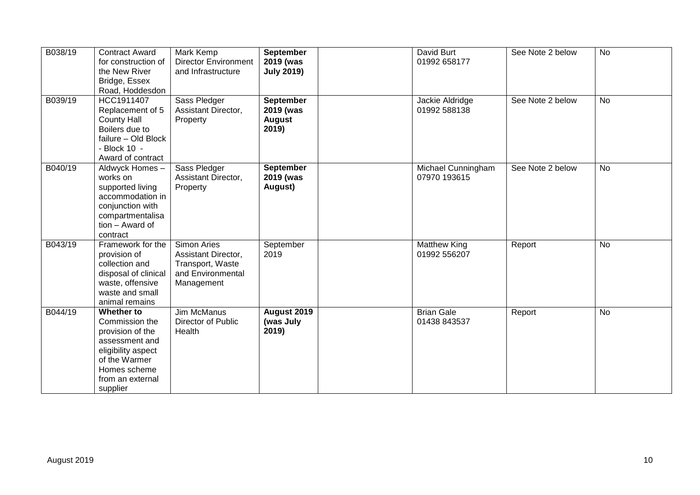| B038/19 | <b>Contract Award</b><br>for construction of<br>the New River<br>Bridge, Essex<br>Road, Hoddesdon                                                         | Mark Kemp<br><b>Director Environment</b><br>and Infrastructure                            | <b>September</b><br>2019 (was<br><b>July 2019)</b>      | David Burt<br>01992 658177          | See Note 2 below | <b>No</b> |
|---------|-----------------------------------------------------------------------------------------------------------------------------------------------------------|-------------------------------------------------------------------------------------------|---------------------------------------------------------|-------------------------------------|------------------|-----------|
| B039/19 | HCC1911407<br>Replacement of 5<br><b>County Hall</b><br>Boilers due to<br>failure - Old Block<br>- Block 10 -<br>Award of contract                        | Sass Pledger<br>Assistant Director,<br>Property                                           | <b>September</b><br>2019 (was<br><b>August</b><br>2019) | Jackie Aldridge<br>01992 588138     | See Note 2 below | <b>No</b> |
| B040/19 | Aldwyck Homes -<br>works on<br>supported living<br>accommodation in<br>conjunction with<br>compartmentalisa<br>tion - Award of<br>contract                | Sass Pledger<br>Assistant Director,<br>Property                                           | <b>September</b><br>2019 (was<br>August)                | Michael Cunningham<br>07970 193615  | See Note 2 below | <b>No</b> |
| B043/19 | Framework for the<br>provision of<br>collection and<br>disposal of clinical<br>waste, offensive<br>waste and small<br>animal remains                      | Simon Aries<br>Assistant Director,<br>Transport, Waste<br>and Environmental<br>Management | September<br>2019                                       | <b>Matthew King</b><br>01992 556207 | Report           | <b>No</b> |
| B044/19 | Whether to<br>Commission the<br>provision of the<br>assessment and<br>eligibility aspect<br>of the Warmer<br>Homes scheme<br>from an external<br>supplier | Jim McManus<br>Director of Public<br>Health                                               | August 2019<br>(was July<br>2019)                       | <b>Brian Gale</b><br>01438 843537   | Report           | No        |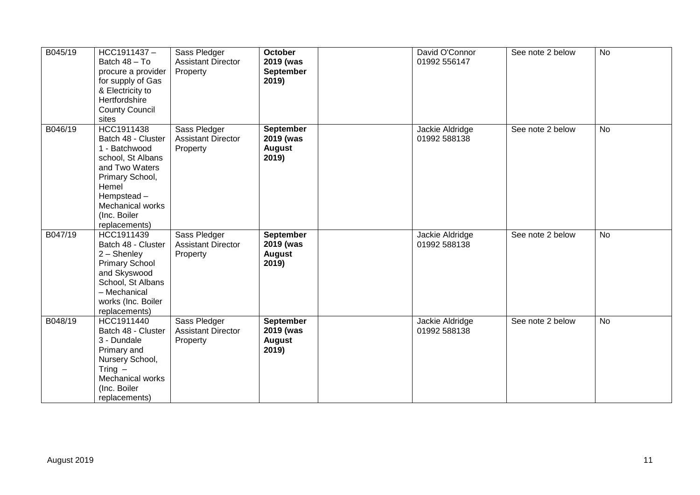| B045/19 | HCC1911437-<br>Batch 48 - To<br>procure a provider<br>for supply of Gas<br>& Electricity to<br>Hertfordshire<br><b>County Council</b><br>sites                                          | Sass Pledger<br><b>Assistant Director</b><br>Property | <b>October</b><br>2019 (was<br>September<br>2019)       | David O'Connor<br>01992 556147  | See note 2 below | <b>No</b> |
|---------|-----------------------------------------------------------------------------------------------------------------------------------------------------------------------------------------|-------------------------------------------------------|---------------------------------------------------------|---------------------------------|------------------|-----------|
| B046/19 | HCC1911438<br>Batch 48 - Cluster<br>1 - Batchwood<br>school, St Albans<br>and Two Waters<br>Primary School,<br>Hemel<br>Hempstead-<br>Mechanical works<br>(Inc. Boiler<br>replacements) | Sass Pledger<br><b>Assistant Director</b><br>Property | September<br>2019 (was<br><b>August</b><br>2019)        | Jackie Aldridge<br>01992 588138 | See note 2 below | No        |
| B047/19 | HCC1911439<br>Batch 48 - Cluster<br>2 - Shenley<br><b>Primary School</b><br>and Skyswood<br>School, St Albans<br>- Mechanical<br>works (Inc. Boiler<br>replacements)                    | Sass Pledger<br><b>Assistant Director</b><br>Property | <b>September</b><br>2019 (was<br><b>August</b><br>2019) | Jackie Aldridge<br>01992 588138 | See note 2 below | <b>No</b> |
| B048/19 | HCC1911440<br>Batch 48 - Cluster<br>3 - Dundale<br>Primary and<br>Nursery School,<br>Tring $-$<br>Mechanical works<br>(Inc. Boiler<br>replacements)                                     | Sass Pledger<br><b>Assistant Director</b><br>Property | <b>September</b><br>2019 (was<br><b>August</b><br>2019) | Jackie Aldridge<br>01992 588138 | See note 2 below | <b>No</b> |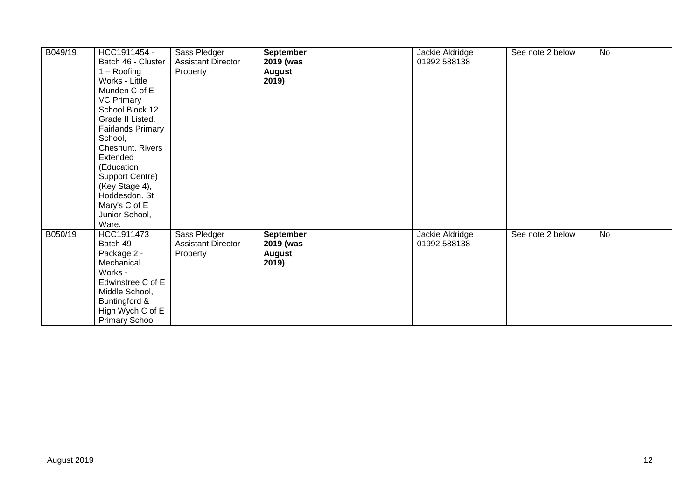| B049/19 | HCC1911454 -<br>Batch 46 - Cluster<br>$1 -$ Roofing<br>Works - Little<br>Munden C of E<br><b>VC Primary</b><br>School Block 12<br>Grade II Listed.<br><b>Fairlands Primary</b><br>School,<br>Cheshunt. Rivers<br>Extended<br>(Education<br>Support Centre)<br>(Key Stage 4),<br>Hoddesdon. St<br>Mary's C of E<br>Junior School,<br>Ware. | Sass Pledger<br><b>Assistant Director</b><br>Property | <b>September</b><br>2019 (was<br><b>August</b><br>2019) | Jackie Aldridge<br>01992 588138 | See note 2 below | <b>No</b> |
|---------|-------------------------------------------------------------------------------------------------------------------------------------------------------------------------------------------------------------------------------------------------------------------------------------------------------------------------------------------|-------------------------------------------------------|---------------------------------------------------------|---------------------------------|------------------|-----------|
| B050/19 | HCC1911473<br>Batch 49 -<br>Package 2 -<br>Mechanical<br>Works -<br>Edwinstree C of E<br>Middle School,<br>Buntingford &<br>High Wych C of E<br><b>Primary School</b>                                                                                                                                                                     | Sass Pledger<br><b>Assistant Director</b><br>Property | <b>September</b><br>2019 (was<br><b>August</b><br>2019) | Jackie Aldridge<br>01992 588138 | See note 2 below | <b>No</b> |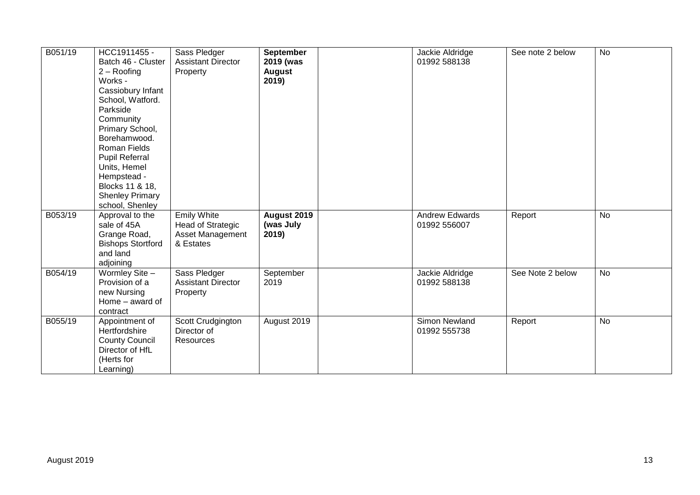| B051/19 | HCC1911455 -<br>Batch 46 - Cluster<br>$2 -$ Roofing<br>Works -<br>Cassiobury Infant<br>School, Watford.<br>Parkside<br>Community<br>Primary School,<br>Borehamwood.<br><b>Roman Fields</b><br><b>Pupil Referral</b><br>Units, Hemel<br>Hempstead -<br>Blocks 11 & 18,<br><b>Shenley Primary</b><br>school, Shenley | Sass Pledger<br><b>Assistant Director</b><br>Property                    | September<br>2019 (was<br><b>August</b><br>2019) | Jackie Aldridge<br>01992 588138       | See note 2 below | <b>No</b> |
|---------|--------------------------------------------------------------------------------------------------------------------------------------------------------------------------------------------------------------------------------------------------------------------------------------------------------------------|--------------------------------------------------------------------------|--------------------------------------------------|---------------------------------------|------------------|-----------|
| B053/19 | Approval to the<br>sale of 45A<br>Grange Road,<br><b>Bishops Stortford</b><br>and land<br>adjoining                                                                                                                                                                                                                | <b>Emily White</b><br>Head of Strategic<br>Asset Management<br>& Estates | August 2019<br>(was July<br>2019)                | <b>Andrew Edwards</b><br>01992 556007 | Report           | <b>No</b> |
| B054/19 | Wormley Site -<br>Provision of a<br>new Nursing<br>Home - award of<br>contract                                                                                                                                                                                                                                     | Sass Pledger<br><b>Assistant Director</b><br>Property                    | September<br>2019                                | Jackie Aldridge<br>01992 588138       | See Note 2 below | <b>No</b> |
| B055/19 | Appointment of<br>Hertfordshire<br><b>County Council</b><br>Director of HfL<br>(Herts for<br>Learning)                                                                                                                                                                                                             | Scott Crudgington<br>Director of<br>Resources                            | August 2019                                      | Simon Newland<br>01992 555738         | Report           | <b>No</b> |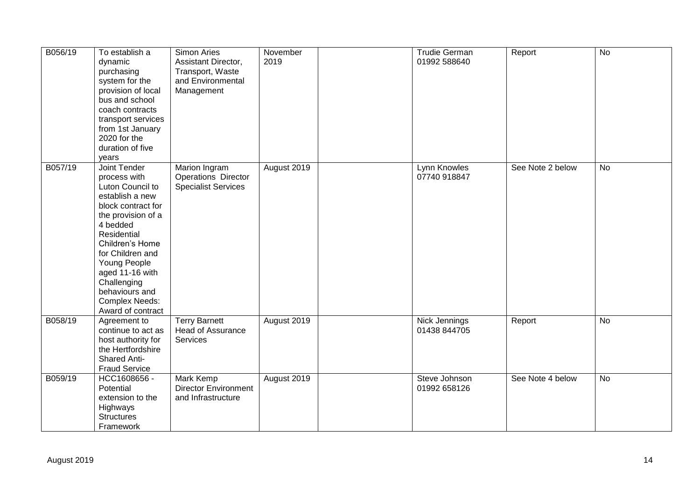| B056/19 | To establish a<br>dynamic<br>purchasing<br>system for the<br>provision of local<br>bus and school<br>coach contracts<br>transport services<br>from 1st January<br>2020 for the<br>duration of five<br>years                                                                                         | Simon Aries<br>Assistant Director,<br>Transport, Waste<br>and Environmental<br>Management | November<br>2019 | <b>Trudie German</b><br>01992 588640 | Report           | No        |
|---------|-----------------------------------------------------------------------------------------------------------------------------------------------------------------------------------------------------------------------------------------------------------------------------------------------------|-------------------------------------------------------------------------------------------|------------------|--------------------------------------|------------------|-----------|
| B057/19 | Joint Tender<br>process with<br>Luton Council to<br>establish a new<br>block contract for<br>the provision of a<br>4 bedded<br>Residential<br>Children's Home<br>for Children and<br>Young People<br>aged 11-16 with<br>Challenging<br>behaviours and<br><b>Complex Needs:</b><br>Award of contract | Marion Ingram<br>Operations Director<br><b>Specialist Services</b>                        | August 2019      | Lynn Knowles<br>07740 918847         | See Note 2 below | No        |
| B058/19 | Agreement to<br>continue to act as<br>host authority for<br>the Hertfordshire<br><b>Shared Anti-</b><br><b>Fraud Service</b>                                                                                                                                                                        | <b>Terry Barnett</b><br>Head of Assurance<br>Services                                     | August 2019      | Nick Jennings<br>01438 844705        | Report           | <b>No</b> |
| B059/19 | HCC1608656 -<br>Potential<br>extension to the<br>Highways<br><b>Structures</b><br>Framework                                                                                                                                                                                                         | Mark Kemp<br><b>Director Environment</b><br>and Infrastructure                            | August 2019      | Steve Johnson<br>01992 658126        | See Note 4 below | <b>No</b> |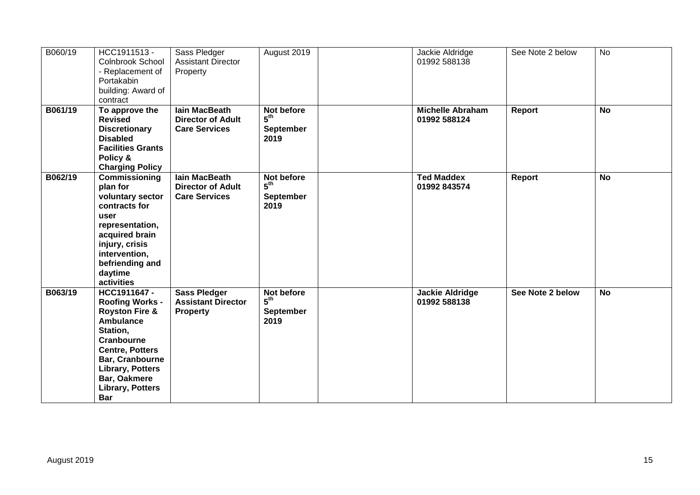| B060/19 | HCC1911513 -<br><b>Colnbrook School</b><br>- Replacement of<br>Portakabin<br>building: Award of<br>contract                                                                                                                                | Sass Pledger<br><b>Assistant Director</b><br>Property                    | August 2019                                               | Jackie Aldridge<br>01992 588138         | See Note 2 below | <b>No</b> |
|---------|--------------------------------------------------------------------------------------------------------------------------------------------------------------------------------------------------------------------------------------------|--------------------------------------------------------------------------|-----------------------------------------------------------|-----------------------------------------|------------------|-----------|
| B061/19 | To approve the<br><b>Revised</b><br><b>Discretionary</b><br><b>Disabled</b><br><b>Facilities Grants</b><br>Policy &<br><b>Charging Policy</b>                                                                                              | <b>lain MacBeath</b><br><b>Director of Adult</b><br><b>Care Services</b> | Not before<br>$5^{\text{th}}$<br><b>September</b><br>2019 | <b>Michelle Abraham</b><br>01992 588124 | Report           | <b>No</b> |
| B062/19 | Commissioning<br>plan for<br>voluntary sector<br>contracts for<br>user<br>representation,<br>acquired brain<br>injury, crisis<br>intervention,<br>befriending and<br>daytime<br>activities                                                 | lain MacBeath<br><b>Director of Adult</b><br><b>Care Services</b>        | Not before<br>5 <sup>th</sup><br><b>September</b><br>2019 | <b>Ted Maddex</b><br>01992 843574       | Report           | <b>No</b> |
| B063/19 | HCC1911647-<br><b>Roofing Works -</b><br><b>Royston Fire &amp;</b><br>Ambulance<br>Station,<br>Cranbourne<br><b>Centre, Potters</b><br>Bar, Cranbourne<br><b>Library, Potters</b><br>Bar, Oakmere<br><b>Library, Potters</b><br><b>Bar</b> | <b>Sass Pledger</b><br><b>Assistant Director</b><br><b>Property</b>      | Not before<br>$5^{\text{th}}$<br><b>September</b><br>2019 | Jackie Aldridge<br>01992 588138         | See Note 2 below | <b>No</b> |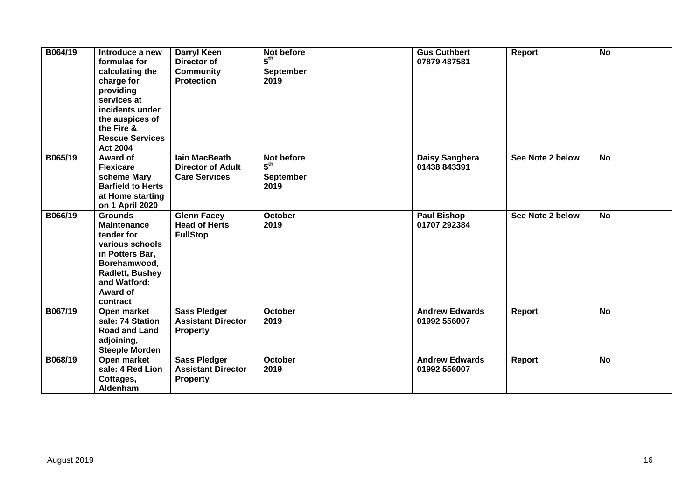| B064/19 | Introduce a new<br>formulae for<br>calculating the<br>charge for<br>providing<br>services at<br>incidents under<br>the auspices of<br>the Fire &<br><b>Rescue Services</b><br><b>Act 2004</b> | <b>Darryl Keen</b><br>Director of<br><b>Community</b><br><b>Protection</b> | Not before<br>$5^{\text{th}}$<br><b>September</b><br>2019 | <b>Gus Cuthbert</b><br>07879 487581   | Report           | <b>No</b> |
|---------|-----------------------------------------------------------------------------------------------------------------------------------------------------------------------------------------------|----------------------------------------------------------------------------|-----------------------------------------------------------|---------------------------------------|------------------|-----------|
| B065/19 | Award of<br><b>Flexicare</b><br>scheme Mary<br><b>Barfield to Herts</b><br>at Home starting<br>on 1 April 2020                                                                                | lain MacBeath<br><b>Director of Adult</b><br><b>Care Services</b>          | Not before<br>5 <sup>th</sup><br><b>September</b><br>2019 | Daisy Sanghera<br>01438 843391        | See Note 2 below | <b>No</b> |
| B066/19 | <b>Grounds</b><br><b>Maintenance</b><br>tender for<br>various schools<br>in Potters Bar,<br>Borehamwood,<br>Radlett, Bushey<br>and Watford:<br>Award of<br>contract                           | <b>Glenn Facey</b><br><b>Head of Herts</b><br><b>FullStop</b>              | October<br>2019                                           | <b>Paul Bishop</b><br>01707 292384    | See Note 2 below | <b>No</b> |
| B067/19 | Open market<br>sale: 74 Station<br><b>Road and Land</b><br>adjoining,<br><b>Steeple Morden</b>                                                                                                | <b>Sass Pledger</b><br><b>Assistant Director</b><br><b>Property</b>        | <b>October</b><br>2019                                    | <b>Andrew Edwards</b><br>01992 556007 | <b>Report</b>    | <b>No</b> |
| B068/19 | Open market<br>sale: 4 Red Lion<br>Cottages,<br>Aldenham                                                                                                                                      | <b>Sass Pledger</b><br><b>Assistant Director</b><br><b>Property</b>        | <b>October</b><br>2019                                    | <b>Andrew Edwards</b><br>01992 556007 | <b>Report</b>    | <b>No</b> |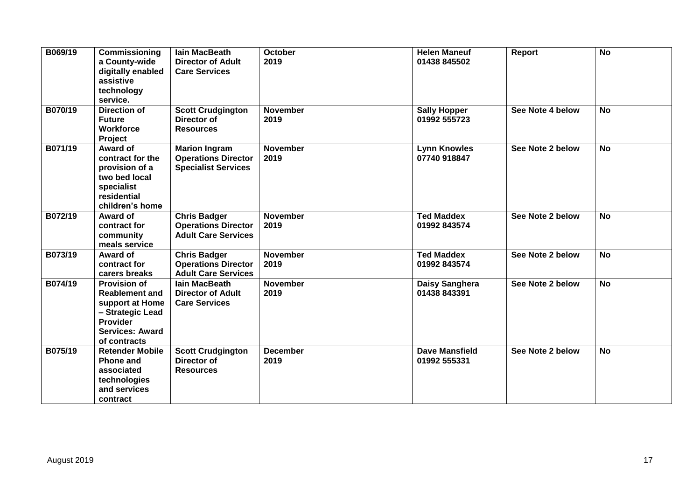| B069/19 | Commissioning<br>a County-wide<br>digitally enabled<br>assistive<br>technology<br>service.                                                | <b>lain MacBeath</b><br><b>Director of Adult</b><br><b>Care Services</b>         | <b>October</b><br>2019  | <b>Helen Maneuf</b><br>01438 845502   | Report           | $\overline{N}$ |
|---------|-------------------------------------------------------------------------------------------------------------------------------------------|----------------------------------------------------------------------------------|-------------------------|---------------------------------------|------------------|----------------|
| B070/19 | <b>Direction of</b><br><b>Future</b><br><b>Workforce</b><br>Project                                                                       | <b>Scott Crudgington</b><br>Director of<br><b>Resources</b>                      | <b>November</b><br>2019 | <b>Sally Hopper</b><br>01992 555723   | See Note 4 below | <b>No</b>      |
| B071/19 | Award of<br>contract for the<br>provision of a<br>two bed local<br>specialist<br>residential<br>children's home                           | <b>Marion Ingram</b><br><b>Operations Director</b><br><b>Specialist Services</b> | <b>November</b><br>2019 | <b>Lynn Knowles</b><br>07740 918847   | See Note 2 below | <b>No</b>      |
| B072/19 | Award of<br>contract for<br>community<br>meals service                                                                                    | <b>Chris Badger</b><br><b>Operations Director</b><br><b>Adult Care Services</b>  | <b>November</b><br>2019 | <b>Ted Maddex</b><br>01992 843574     | See Note 2 below | <b>No</b>      |
| B073/19 | Award of<br>contract for<br>carers breaks                                                                                                 | <b>Chris Badger</b><br><b>Operations Director</b><br><b>Adult Care Services</b>  | <b>November</b><br>2019 | <b>Ted Maddex</b><br>01992 843574     | See Note 2 below | <b>No</b>      |
| B074/19 | <b>Provision of</b><br><b>Reablement and</b><br>support at Home<br>- Strategic Lead<br>Provider<br><b>Services: Award</b><br>of contracts | <b>lain MacBeath</b><br><b>Director of Adult</b><br><b>Care Services</b>         | <b>November</b><br>2019 | Daisy Sanghera<br>01438 843391        | See Note 2 below | <b>No</b>      |
| B075/19 | <b>Retender Mobile</b><br><b>Phone and</b><br>associated<br>technologies<br>and services<br>contract                                      | <b>Scott Crudgington</b><br>Director of<br><b>Resources</b>                      | <b>December</b><br>2019 | <b>Dave Mansfield</b><br>01992 555331 | See Note 2 below | <b>No</b>      |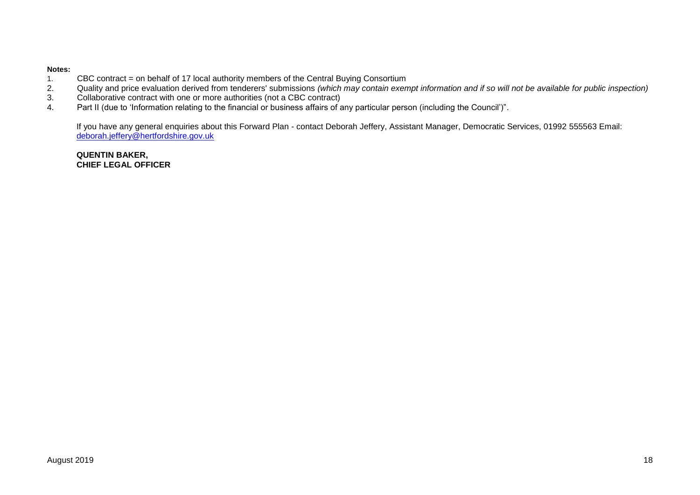#### **Notes:**

- 1. CBC contract = on behalf of 17 local authority members of the Central Buying Consortium<br>2. Quality and price evaluation derived from tenderers' submissions (which may contain exen
- 2. Quality and price evaluation derived from tenderers' submissions *(which may contain exempt information and if so will not be available for public inspection)*
- 3. Collaborative contract with one or more authorities (not a CBC contract)
- 4. Part II (due to 'Information relating to the financial or business affairs of any particular person (including the Council')".

If you have any general enquiries about this Forward Plan - contact Deborah Jeffery, Assistant Manager, Democratic Services, 01992 555563 Email: [deborah.jeffery@hertfordshire.gov.uk](mailto:deborah.jeffery@hertfordshire.gov.uk) 

**QUENTIN BAKER, CHIEF LEGAL OFFICER**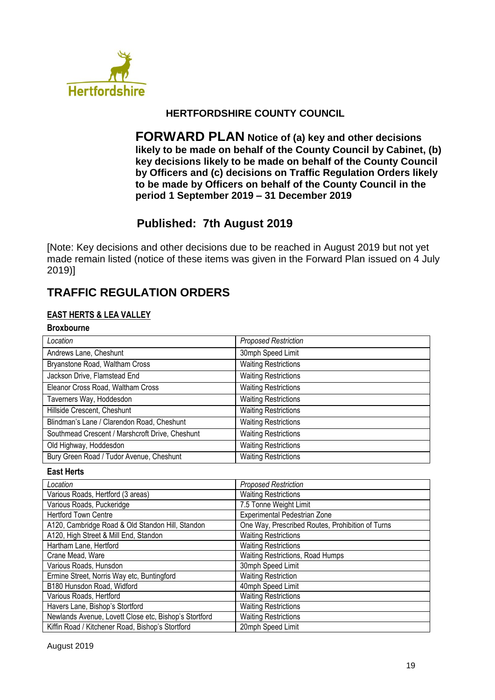

## **HERTFORDSHIRE COUNTY COUNCIL**

**FORWARD PLAN Notice of (a) key and other decisions likely to be made on behalf of the County Council by Cabinet, (b) key decisions likely to be made on behalf of the County Council by Officers and (c) decisions on Traffic Regulation Orders likely to be made by Officers on behalf of the County Council in the period 1 September 2019 – 31 December 2019**

# **Published: 7th August 2019**

[Note: Key decisions and other decisions due to be reached in August 2019 but not yet made remain listed (notice of these items was given in the Forward Plan issued on 4 July 2019)]

# **TRAFFIC REGULATION ORDERS**

#### **EAST HERTS & LEA VALLEY**

#### **Broxbourne**

| Location                                        | <b>Proposed Restriction</b> |
|-------------------------------------------------|-----------------------------|
| Andrews Lane, Cheshunt                          | 30mph Speed Limit           |
| Bryanstone Road, Waltham Cross                  | <b>Waiting Restrictions</b> |
| Jackson Drive, Flamstead End                    | <b>Waiting Restrictions</b> |
| Eleanor Cross Road, Waltham Cross               | <b>Waiting Restrictions</b> |
| Taverners Way, Hoddesdon                        | <b>Waiting Restrictions</b> |
| Hillside Crescent, Cheshunt                     | <b>Waiting Restrictions</b> |
| Blindman's Lane / Clarendon Road, Cheshunt      | <b>Waiting Restrictions</b> |
| Southmead Crescent / Marshcroft Drive, Cheshunt | <b>Waiting Restrictions</b> |
| Old Highway, Hoddesdon                          | <b>Waiting Restrictions</b> |
| Bury Green Road / Tudor Avenue, Cheshunt        | <b>Waiting Restrictions</b> |

### **East Herts**

| Location                                              | <b>Proposed Restriction</b>                      |
|-------------------------------------------------------|--------------------------------------------------|
| Various Roads, Hertford (3 areas)                     | <b>Waiting Restrictions</b>                      |
| Various Roads, Puckeridge                             | 7.5 Tonne Weight Limit                           |
| <b>Hertford Town Centre</b>                           | Experimental Pedestrian Zone                     |
| A120, Cambridge Road & Old Standon Hill, Standon      | One Way, Prescribed Routes, Prohibition of Turns |
| A120, High Street & Mill End, Standon                 | <b>Waiting Restrictions</b>                      |
| Hartham Lane, Hertford                                | <b>Waiting Restrictions</b>                      |
| Crane Mead, Ware                                      | Waiting Restrictions, Road Humps                 |
| Various Roads, Hunsdon                                | 30mph Speed Limit                                |
| Ermine Street, Norris Way etc, Buntingford            | <b>Waiting Restriction</b>                       |
| B180 Hunsdon Road, Widford                            | 40mph Speed Limit                                |
| Various Roads, Hertford                               | <b>Waiting Restrictions</b>                      |
| Havers Lane, Bishop's Stortford                       | <b>Waiting Restrictions</b>                      |
| Newlands Avenue, Lovett Close etc, Bishop's Stortford | <b>Waiting Restrictions</b>                      |
| Kiffin Road / Kitchener Road, Bishop's Stortford      | 20mph Speed Limit                                |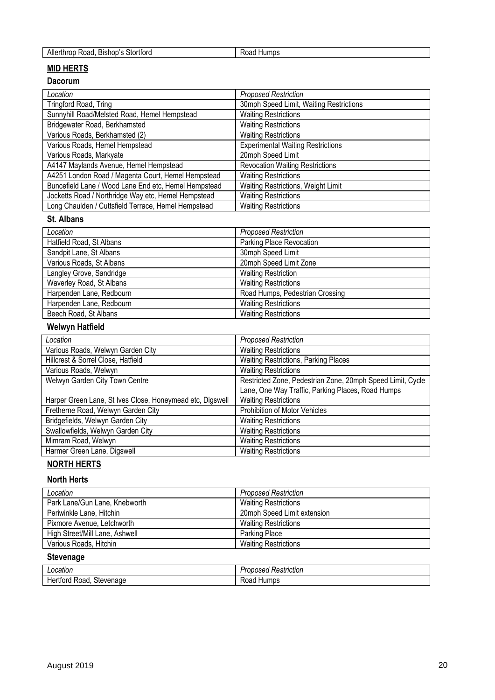| Alle<br>-<br>- ------<br>Bishon<br>-- -<br>rtforc<br>коя<br>ז∩ז<br>нос | . Jum<br>≺oac |
|------------------------------------------------------------------------|---------------|

## **MID HERTS**

#### **Dacorum**

| Location                                             | <b>Proposed Restriction</b>              |
|------------------------------------------------------|------------------------------------------|
| Tringford Road, Tring                                | 30mph Speed Limit, Waiting Restrictions  |
| Sunnyhill Road/Melsted Road, Hemel Hempstead         | <b>Waiting Restrictions</b>              |
| Bridgewater Road, Berkhamsted                        | <b>Waiting Restrictions</b>              |
| Various Roads, Berkhamsted (2)                       | <b>Waiting Restrictions</b>              |
| Various Roads, Hemel Hempstead                       | <b>Experimental Waiting Restrictions</b> |
| Various Roads, Markyate                              | 20mph Speed Limit                        |
| A4147 Maylands Avenue, Hemel Hempstead               | <b>Revocation Waiting Restrictions</b>   |
| A4251 London Road / Magenta Court, Hemel Hempstead   | <b>Waiting Restrictions</b>              |
| Buncefield Lane / Wood Lane End etc, Hemel Hempstead | Waiting Restrictions, Weight Limit       |
| Jocketts Road / Northridge Way etc, Hemel Hempstead  | <b>Waiting Restrictions</b>              |
| Long Chaulden / Cuttsfield Terrace, Hemel Hempstead  | <b>Waiting Restrictions</b>              |

## **St. Albans**

| Location                 | <b>Proposed Restriction</b>     |
|--------------------------|---------------------------------|
| Hatfield Road, St Albans | Parking Place Revocation        |
| Sandpit Lane, St Albans  | 30mph Speed Limit               |
| Various Roads, St Albans | 20mph Speed Limit Zone          |
| Langley Grove, Sandridge | <b>Waiting Restriction</b>      |
| Waverley Road, St Albans | <b>Waiting Restrictions</b>     |
| Harpenden Lane, Redbourn | Road Humps, Pedestrian Crossing |
| Harpenden Lane, Redbourn | <b>Waiting Restrictions</b>     |
| Beech Road, St Albans    | <b>Waiting Restrictions</b>     |

# **Welwyn Hatfield**

| Location                                                  | <b>Proposed Restriction</b>                                |
|-----------------------------------------------------------|------------------------------------------------------------|
| Various Roads, Welwyn Garden City                         | <b>Waiting Restrictions</b>                                |
| Hillcrest & Sorrel Close, Hatfield                        | Waiting Restrictions, Parking Places                       |
| Various Roads, Welwyn                                     | <b>Waiting Restrictions</b>                                |
| Welwyn Garden City Town Centre                            | Restricted Zone, Pedestrian Zone, 20mph Speed Limit, Cycle |
|                                                           | Lane, One Way Traffic, Parking Places, Road Humps          |
| Harper Green Lane, St Ives Close, Honeymead etc, Digswell | <b>Waiting Restrictions</b>                                |
| Fretherne Road, Welwyn Garden City                        | Prohibition of Motor Vehicles                              |
| Bridgefields, Welwyn Garden City                          | <b>Waiting Restrictions</b>                                |
| Swallowfields, Welwyn Garden City                         | <b>Waiting Restrictions</b>                                |
| Mimram Road, Welwyn                                       | <b>Waiting Restrictions</b>                                |
| Harmer Green Lane, Digswell                               | <b>Waiting Restrictions</b>                                |

# **NORTH HERTS**

#### **North Herts**

| Location                       | <b>Proposed Restriction</b> |
|--------------------------------|-----------------------------|
| Park Lane/Gun Lane, Knebworth  | <b>Waiting Restrictions</b> |
| Periwinkle Lane, Hitchin       | 20mph Speed Limit extension |
| Pixmore Avenue, Letchworth     | <b>Waiting Restrictions</b> |
| High Street/Mill Lane, Ashwell | Parking Place               |
| Various Roads, Hitchin         | <b>Waiting Restrictions</b> |

## **Stevenage**

| ocation                         | $\cdots$<br>. .<br>⊀estriction<br>useu<br>uv |
|---------------------------------|----------------------------------------------|
| Stevenage<br>Road<br>rora<br>⊣е | Humps<br>∖∪au                                |